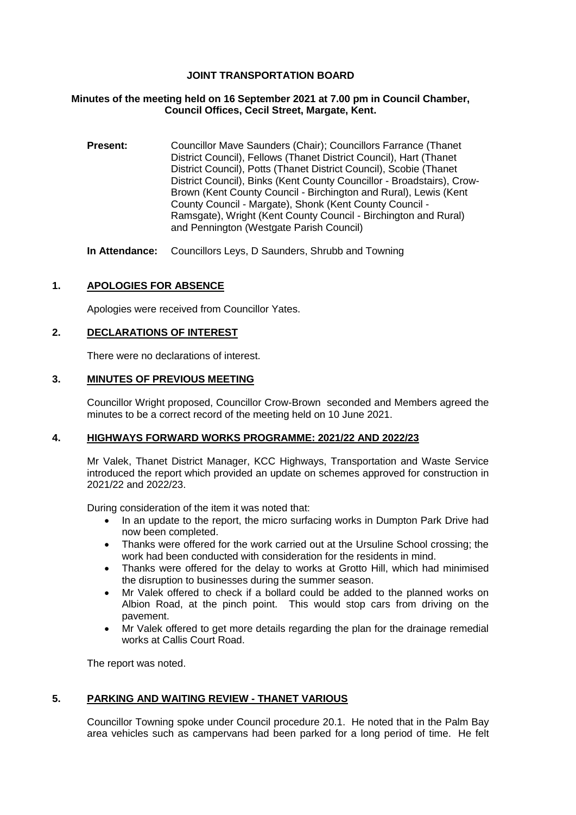# **JOINT TRANSPORTATION BOARD**

## **Minutes of the meeting held on 16 September 2021 at 7.00 pm in Council Chamber, Council Offices, Cecil Street, Margate, Kent.**

**Present:** Councillor Mave Saunders (Chair); Councillors Farrance (Thanet District Council), Fellows (Thanet District Council), Hart (Thanet District Council), Potts (Thanet District Council), Scobie (Thanet District Council), Binks (Kent County Councillor - Broadstairs), Crow-Brown (Kent County Council - Birchington and Rural), Lewis (Kent County Council - Margate), Shonk (Kent County Council - Ramsgate), Wright (Kent County Council - Birchington and Rural) and Pennington (Westgate Parish Council)

**In Attendance:** Councillors Leys, D Saunders, Shrubb and Towning

# **1. APOLOGIES FOR ABSENCE**

Apologies were received from Councillor Yates.

## **2. DECLARATIONS OF INTEREST**

There were no declarations of interest.

## **3. MINUTES OF PREVIOUS MEETING**

Councillor Wright proposed, Councillor Crow-Brown seconded and Members agreed the minutes to be a correct record of the meeting held on 10 June 2021.

## **4. HIGHWAYS FORWARD WORKS PROGRAMME: 2021/22 AND 2022/23**

Mr Valek, Thanet District Manager, KCC Highways, Transportation and Waste Service introduced the report which provided an update on schemes approved for construction in 2021/22 and 2022/23.

During consideration of the item it was noted that:

- In an update to the report, the micro surfacing works in Dumpton Park Drive had now been completed.
- Thanks were offered for the work carried out at the Ursuline School crossing; the work had been conducted with consideration for the residents in mind.
- Thanks were offered for the delay to works at Grotto Hill, which had minimised the disruption to businesses during the summer season.
- Mr Valek offered to check if a bollard could be added to the planned works on Albion Road, at the pinch point. This would stop cars from driving on the pavement.
- Mr Valek offered to get more details regarding the plan for the drainage remedial works at Callis Court Road.

The report was noted.

## **5. PARKING AND WAITING REVIEW - THANET VARIOUS**

Councillor Towning spoke under Council procedure 20.1. He noted that in the Palm Bay area vehicles such as campervans had been parked for a long period of time. He felt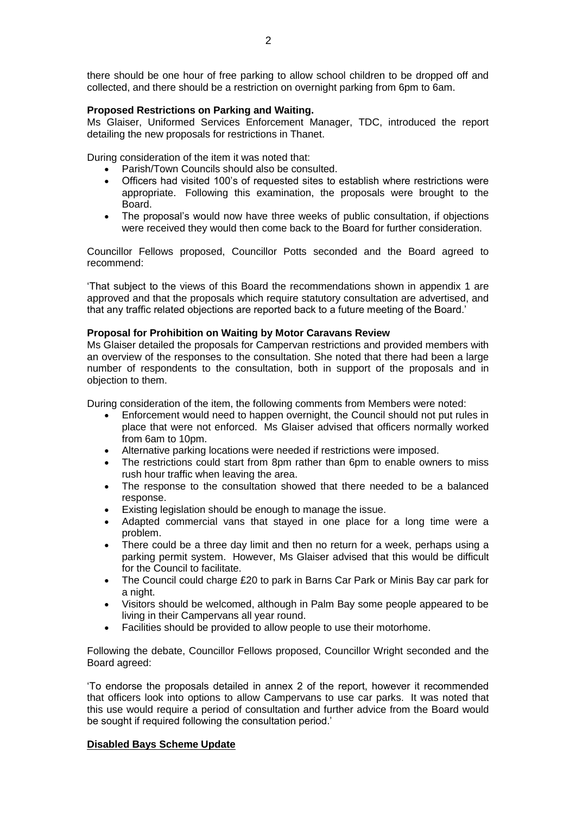there should be one hour of free parking to allow school children to be dropped off and collected, and there should be a restriction on overnight parking from 6pm to 6am.

### **Proposed Restrictions on Parking and Waiting.**

Ms Glaiser, Uniformed Services Enforcement Manager, TDC, introduced the report detailing the new proposals for restrictions in Thanet.

During consideration of the item it was noted that:

- Parish/Town Councils should also be consulted.
- Officers had visited 100's of requested sites to establish where restrictions were appropriate. Following this examination, the proposals were brought to the Board.
- The proposal's would now have three weeks of public consultation, if objections were received they would then come back to the Board for further consideration.

Councillor Fellows proposed, Councillor Potts seconded and the Board agreed to recommend:

'That subject to the views of this Board the recommendations shown in appendix 1 are approved and that the proposals which require statutory consultation are advertised, and that any traffic related objections are reported back to a future meeting of the Board.'

#### **Proposal for Prohibition on Waiting by Motor Caravans Review**

Ms Glaiser detailed the proposals for Campervan restrictions and provided members with an overview of the responses to the consultation. She noted that there had been a large number of respondents to the consultation, both in support of the proposals and in objection to them.

During consideration of the item, the following comments from Members were noted:

- Enforcement would need to happen overnight, the Council should not put rules in place that were not enforced. Ms Glaiser advised that officers normally worked from 6am to 10pm.
- Alternative parking locations were needed if restrictions were imposed.
- The restrictions could start from 8pm rather than 6pm to enable owners to miss rush hour traffic when leaving the area.
- The response to the consultation showed that there needed to be a balanced response.
- Existing legislation should be enough to manage the issue.
- Adapted commercial vans that stayed in one place for a long time were a problem.
- There could be a three day limit and then no return for a week, perhaps using a parking permit system. However, Ms Glaiser advised that this would be difficult for the Council to facilitate.
- The Council could charge £20 to park in Barns Car Park or Minis Bay car park for a night.
- Visitors should be welcomed, although in Palm Bay some people appeared to be living in their Campervans all year round.
- Facilities should be provided to allow people to use their motorhome.

Following the debate, Councillor Fellows proposed, Councillor Wright seconded and the Board agreed:

'To endorse the proposals detailed in annex 2 of the report, however it recommended that officers look into options to allow Campervans to use car parks. It was noted that this use would require a period of consultation and further advice from the Board would be sought if required following the consultation period.'

## **Disabled Bays Scheme Update**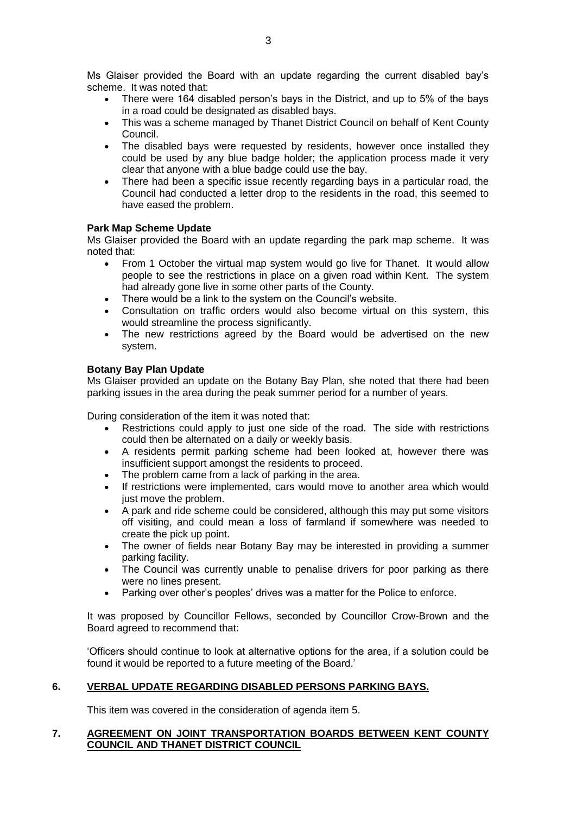Ms Glaiser provided the Board with an update regarding the current disabled bay's scheme. It was noted that:

- There were 164 disabled person's bays in the District, and up to 5% of the bays in a road could be designated as disabled bays.
- This was a scheme managed by Thanet District Council on behalf of Kent County Council.
- The disabled bays were requested by residents, however once installed they could be used by any blue badge holder; the application process made it very clear that anyone with a blue badge could use the bay.
- There had been a specific issue recently regarding bays in a particular road, the Council had conducted a letter drop to the residents in the road, this seemed to have eased the problem.

## **Park Map Scheme Update**

Ms Glaiser provided the Board with an update regarding the park map scheme. It was noted that:

- From 1 October the virtual map system would go live for Thanet. It would allow people to see the restrictions in place on a given road within Kent. The system had already gone live in some other parts of the County.
- There would be a link to the system on the Council's website.
- Consultation on traffic orders would also become virtual on this system, this would streamline the process significantly.
- The new restrictions agreed by the Board would be advertised on the new system.

### **Botany Bay Plan Update**

Ms Glaiser provided an update on the Botany Bay Plan, she noted that there had been parking issues in the area during the peak summer period for a number of years.

During consideration of the item it was noted that:

- Restrictions could apply to just one side of the road. The side with restrictions could then be alternated on a daily or weekly basis.
- A residents permit parking scheme had been looked at, however there was insufficient support amongst the residents to proceed.
- The problem came from a lack of parking in the area.
- If restrictions were implemented, cars would move to another area which would just move the problem.
- A park and ride scheme could be considered, although this may put some visitors off visiting, and could mean a loss of farmland if somewhere was needed to create the pick up point.
- The owner of fields near Botany Bay may be interested in providing a summer parking facility.
- The Council was currently unable to penalise drivers for poor parking as there were no lines present.
- Parking over other's peoples' drives was a matter for the Police to enforce.

It was proposed by Councillor Fellows, seconded by Councillor Crow-Brown and the Board agreed to recommend that:

'Officers should continue to look at alternative options for the area, if a solution could be found it would be reported to a future meeting of the Board.'

## **6. VERBAL UPDATE REGARDING DISABLED PERSONS PARKING BAYS.**

This item was covered in the consideration of agenda item 5.

## **7. AGREEMENT ON JOINT TRANSPORTATION BOARDS BETWEEN KENT COUNTY COUNCIL AND THANET DISTRICT COUNCIL**